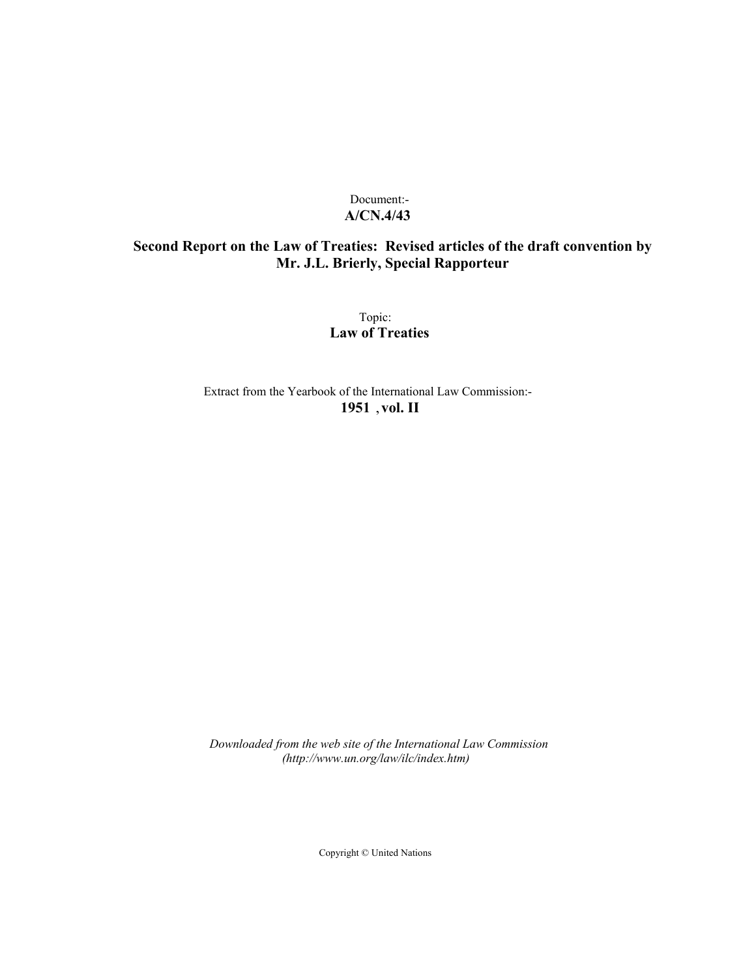# Document:- **A/CN.4/43**

# **Second Report on the Law of Treaties: Revised articles of the draft convention by Mr. J.L. Brierly, Special Rapporteur**

Topic: **Law of Treaties**

Extract from the Yearbook of the International Law Commission:- **1951** ,**vol. II**

*Downloaded from the web site of the International Law Commission (http://www.un.org/law/ilc/index.htm)*

Copyright © United Nations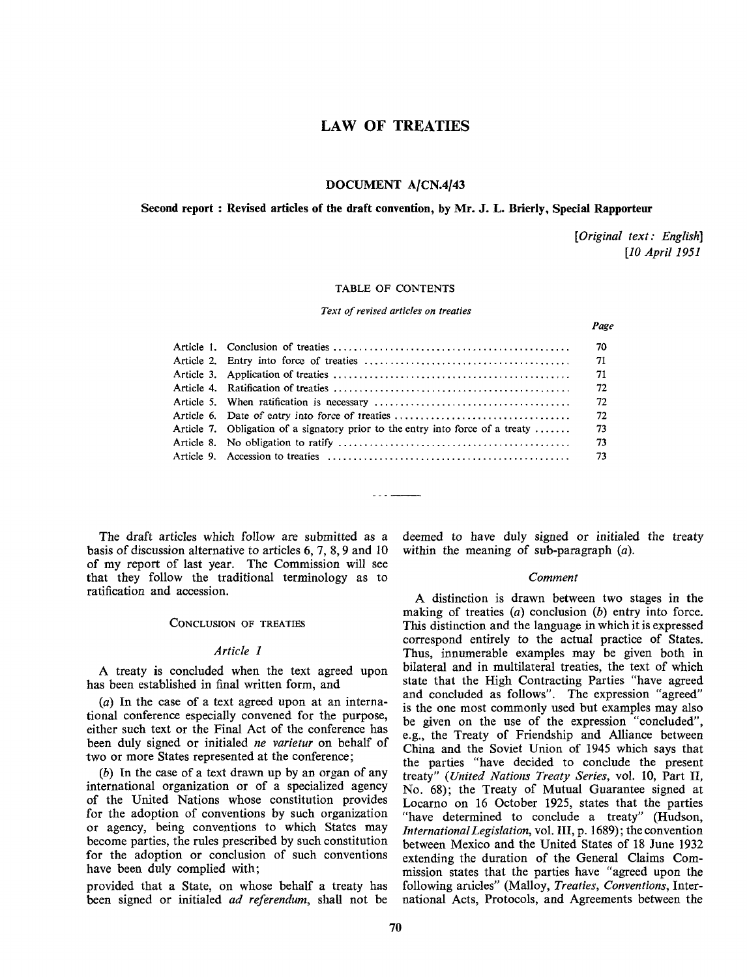# LAW OF TREATIES

# DOCUMENT A/CN.4/43

## Second report : Revised articles of the draft convention, by Mr. J. L. Brierly, Special Rapporteur

*[Original text: English] [10 April 1951*

*Page*

#### TABLE OF CONTENTS

*Text of revised articles on treaties*

| Article 7. Obligation of a signatory prior to the entry into force of a treaty $\dots$ . | 73 |
|------------------------------------------------------------------------------------------|----|
|                                                                                          |    |
|                                                                                          |    |
|                                                                                          |    |

The draft articles which follow are submitted as a basis of discussion alternative to articles 6, 7, 8,9 and 10 of my report of last year. The Commission will see that they follow the traditional terminology as to ratification and accession.

# CONCLUSION OF TREATIES

#### *Article 1*

A treaty is concluded when the text agreed upon has been established in final written form, and

*(a)* In the case of a text agreed upon at an international conference especially convened for the purpose, either such text or the Final Act of the conference has been duly signed or initialed *ne varietur* on behalf of two or more States represented at the conference;

*(b)* In the case of a text drawn up by an organ of any international organization or of a specialized agency of the United Nations whose constitution provides for the adoption of conventions by such organization or agency, being conventions to which States may become parties, the rules prescribed by such constitution for the adoption or conclusion of such conventions have been duly complied with;

provided that a State, on whose behalf a treaty has been signed or initialed *ad referendum,* shall not be deemed to have duly signed or initialed the treaty within the meaning of sub-paragraph *(a).*

#### *Comment*

A distinction is drawn between two stages in the making of treaties *(a)* conclusion *(b)* entry into force. This distinction and the language in which it is expressed correspond entirely to the actual practice of States. Thus, innumerable examples may be given both in bilateral and in multilateral treaties, the text of which state that the High Contracting Parties "have agreed and concluded as follows". The expression "agreed" is the one most commonly used but examples may also be given on the use of the expression "concluded", e.g., the Treaty of Friendship and Alliance between China and the Soviet Union of 1945 which says that the parties "have decided to conclude the present treaty" *(United Nations Treaty Series,* vol. 10, Part II, No. 68); the Treaty of Mutual Guarantee signed at Locarno on 16 October 1925, states that the parties "have determined to conclude a treaty" (Hudson, *International Legislation,* vol. Ill, p. 1689); the convention between Mexico and the United States of 18 June 1932 extending the duration of the General Claims Commission states that the parties have "agreed upon the following articles" (Malloy, *Treaties, Conventions*, International Acts, Protocols, and Agreements between the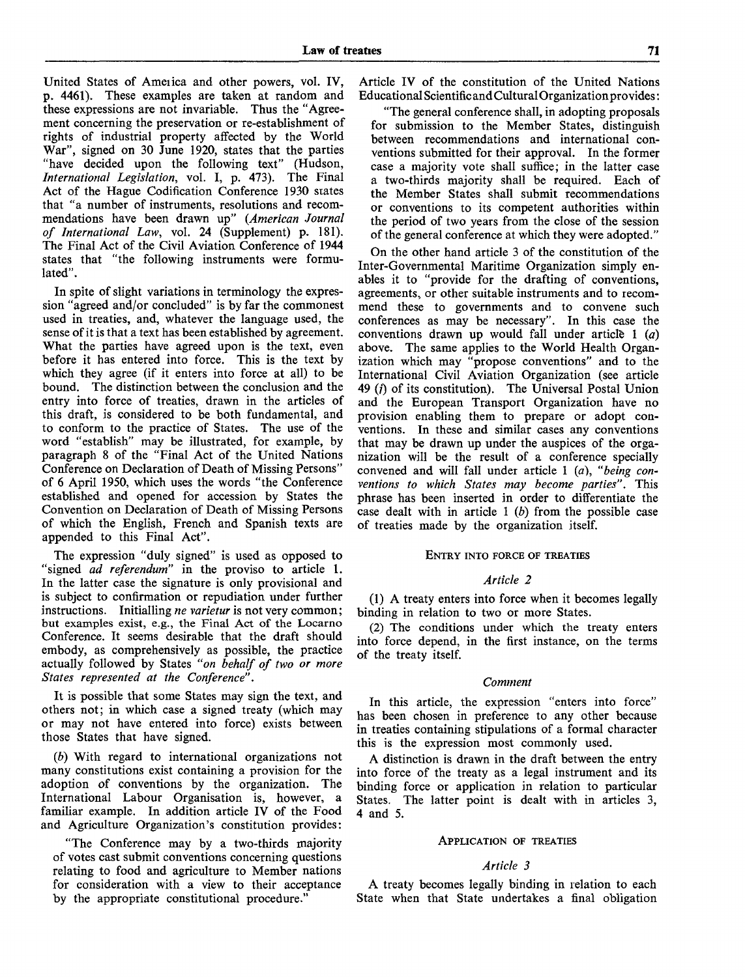United States of Ameiica and other powers, vol. IV, p. 4461). These examples are taken at random and these expressions are not invariable. Thus the "Agreement concerning the preservation or re-establishment of rights of industrial property affected by the World War", signed on 30 June 1920, states that the parties "have decided upon the following text" (Hudson, *International Legislation,* vol. I, p. 473). The Final Act of the Hague Codification Conference 1930 states that "a number of instruments, resolutions and recommendations have been drawn up" *(American Journal of International Law,* vol. 24 (Supplement) p. 181). The Final Act of the Civil Aviation Conference of 1944 states that "the following instruments were formulated".

In spite of slight variations in terminology the expression "agreed and/or concluded" is by far the commonest used in treaties, and, whatever the language used, the sense of it is that a text has been established by agreement. What the parties have agreed upon is the text, even before it has entered into force. This is the text by which they agree (if it enters into force at all) to be bound. The distinction between the conclusion and the entry into force of treaties, drawn in the articles of this draft, is considered to be both fundamental, and to conform to the practice of States. The use of the word "establish" may be illustrated, for example, by paragraph 8 of the "Final Act of the United Nations Conference on Declaration of Death of Missing Persons" of 6 April 1950, which uses the words "the Conference established and opened for accession by States the Convention on Declaration of Death of Missing Persons of which the English, French and Spanish texts are appended to this Final Act".

The expression "duly signed" is used as opposed to "signed *ad referendum"* in the proviso to article 1. In the latter case the signature is only provisional and is subject to confirmation or repudiation under further instructions. Initialling *ne varietur* is not very common; but examples exist, e.g., the Final Act of the Locarno Conference. It seems desirable that the draft should embody, as comprehensively as possible, the practice actually followed by States *"on behalf of two or more States represented at the Conference".*

It is possible that some States may sign the text, and others not; in which case a signed treaty (which may or may not have entered into force) exists between those States that have signed.

*(b)* With regard to international organizations not many constitutions exist containing a provision for the adoption of conventions by the organization. The International Labour Organisation is, however, a familiar example. In addition article IV of the Food and Agriculture Organization's constitution provides:

"The Conference may by a two-thirds majority of votes cast submit conventions concerning questions relating to food and agriculture to Member nations for consideration with a view to their acceptance by the appropriate constitutional procedure."

Article IV of the constitution of the United Nations Educational Scientific and Cultural Organization provides:

"The general conference shall, in adopting proposals for submission to the Member States, distinguish between recommendations and international conventions submitted for their approval. In the former case a majority vote shall suffice; in the latter case a two-thirds majority shall be required. Each of the Member States shall submit recommendations or conventions to its competent authorities within the period of two years from the close of the session of the general conference at which they were adopted."

On the other hand article 3 of the constitution of the Inter-Governmental Maritime Organization simply enables it to "provide for the drafting of conventions, agreements, or other suitable instruments and to recommend these to governments and to convene such conferences as may be necessary". In this case the conventions drawn up would fall under article 1 *(a)* above. The same applies to the World Health Organization which may "propose conventions" and to the International Civil Aviation Organization (see article 49  $(i)$  of its constitution). The Universal Postal Union and the European Transport Organization have no provision enabling them to prepare or adopt conventions. In these and similar cases any conventions that may be drawn up under the auspices of the organization will be the result of a conference specially convened and will fall under article 1 *(a), "being conventions to which States may become parties".* This phrase has been inserted in order to differentiate the case dealt with in article  $1$  (b) from the possible case of treaties made by the organization itself.

# ENTRY INTO FORCE OF TREATIES

# *Article 2*

(1) A treaty enters into force when it becomes legally binding in relation to two or more States.

(2) The conditions under which the treaty enters into force depend, in the first instance, on the terms of the treaty itself.

#### *Comment*

In this article, the expression "enters into force" has been chosen in preference to any other because in treaties containing stipulations of a formal character this is the expression most commonly used.

A distinction is drawn in the draft between the entry into force of the treaty as a legal instrument and its binding force or application in relation to particular States. The latter point is dealt with in articles 3, 4 and 5.

## APPLICATION OF TREATIES

#### *Article 3*

A treaty becomes legally binding in relation to each State when that State undertakes a final obligation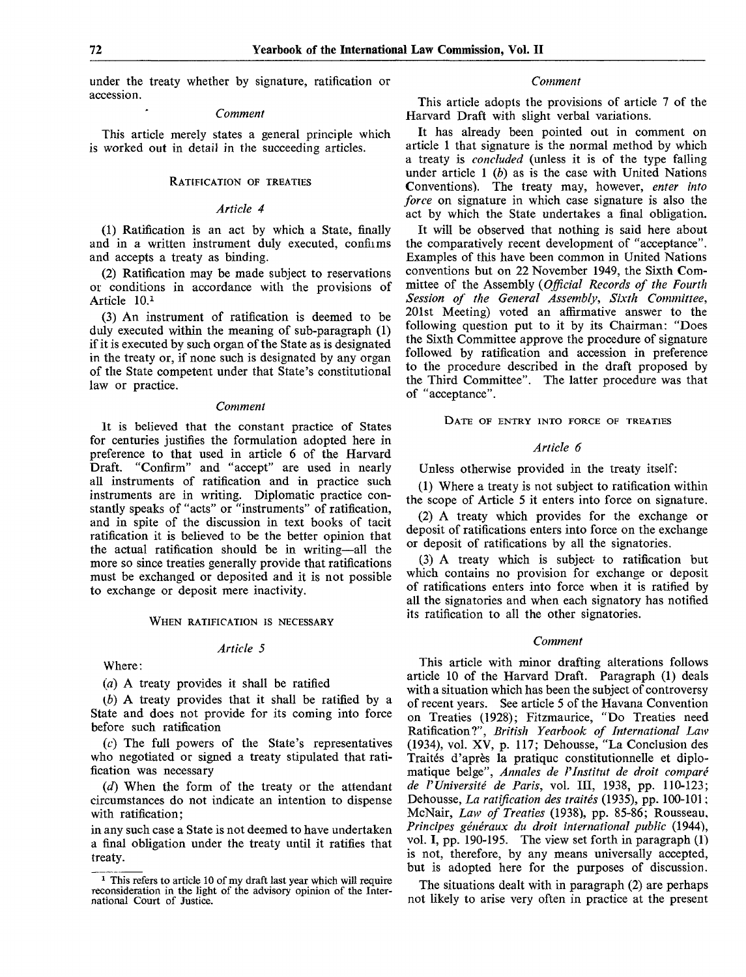under the treaty whether by signature, ratification or accession.

#### *Comment*

This article merely states a general principle which is worked out in detail in the succeeding articles.

# RATIFICATION OF TREATIES

# *Article 4*

(1) Ratification is an act by which a State, finally and in a written instrument duly executed, confiims and accepts a treaty as binding.

(2) Ratification may be made subject to reservations or conditions in accordance with the provisions of Article 10.<sup>1</sup>

(3) An instrument of ratification is deemed to be duly executed within the meaning of sub-paragraph (1) if it is executed by such organ of the State as is designated in the treaty or, if none such is designated by any organ of the State competent under that State's constitutional law or practice.

#### *Comment*

It is believed that the constant practice of States for centuries justifies the formulation adopted here in preference to that used in article 6 of the Harvard Draft. "Confirm" and "accept" are used in nearly all instruments of ratification and in practice such instruments are in writing. Diplomatic practice constantly speaks of "acts" or "instruments" of ratification, and in spite of the discussion in text books of tacit ratification it is believed to be the better opinion that the actual ratification should be in writing—all the more so since treaties generally provide that ratifications must be exchanged or deposited and it is not possible to exchange or deposit mere inactivity.

### WHEN RATIFICATION IS NECESSARY

#### *Article 5*

Where:

*(a)* A treaty provides it shall be ratified

*(b)* A treaty provides that it shall be ratified by a State and does not provide for its coming into force before such ratification

 $(c)$  The full powers of the State's representatives who negotiated or signed a treaty stipulated that ratification was necessary

*(d)* When the form of the treaty or the attendant circumstances do not indicate an intention to dispense with ratification;

in any such case a State is not deemed to have undertaken a final obligation under the treaty until it ratifies that treaty.

#### *Comment*

This article adopts the provisions of article 7 of the Harvard Draft with slight verbal variations.

It has already been pointed out in comment on article 1 that signature is the normal method by which a treaty is *concluded* (unless it is of the type falling under article 1 *(b)* as is the case with United Nations Conventions). The treaty may, however, *enter into force* on signature in which case signature is also the act by which the State undertakes a final obligation.

It will be observed that nothing is said here about the comparatively recent development of "acceptance". Examples of this have been common in United Nations conventions but on 22 November 1949, the Sixth Committee of the Assembly *(Official Records of the Fourth Session of the General Assembly, Sixth Committee,* 201st Meeting) voted an affirmative answer to the following question put to it by its Chairman: "Does the Sixth Committee approve the procedure of signature followed by ratification and accession in preference to the procedure described in the draft proposed by the Third Committee". The latter procedure was that of "acceptance".

DATE OF ENTRY INTO FORCE OF TREATIES

# *Article 6*

Unless otherwise provided in the treaty itself:

(1) Where a treaty is not subject to ratification within the scope of Article 5 it enters into force on signature.

(2) A treaty which provides for the exchange or deposit of ratifications enters into force on the exchange or deposit of ratifications by all the signatories.

(3) A treaty which is subject to ratification but which contains no provision for exchange or deposit of ratifications enters into force when it is ratified by all the signatories and when each signatory has notified its ratification to all the other signatories.

#### *Comment*

This article with minor drafting alterations follows article 10 of the Harvard Draft. Paragraph (1) deals with a situation which has been the subject of controversy of recent years. See article 5 of the Havana Convention on Treaties (1928); Fitzmaurice, "Do Treaties need Ratification?", *British Yearbook of International Law* (1934), vol. XV, p. 117; Dehousse, "La Conclusion des Traités d'après la pratique constitutionnelle et diplomatique belge", *Annales de l'Institut de droit comparé de l'Université de Paris,* vol. III, 1938, pp. 110-123; Dehousse, *La ratification des traités* (1935), pp. 100-101 ; McNair, *Law of Treaties* (1938), pp. 85-86; Rousseau, *Principes généraux du droit international public* (1944), vol. I, pp. 190-195. The view set forth in paragraph (1) is not, therefore, by any means universally accepted, but is adopted here for the purposes of discussion.

The situations dealt with in paragraph (2) are perhaps not likely to arise very often in practice at the present

<sup>&</sup>lt;sup>1</sup> This refers to article 10 of my draft last year which will require reconsideration in the light of the advisory opinion of the International Court of Justice.